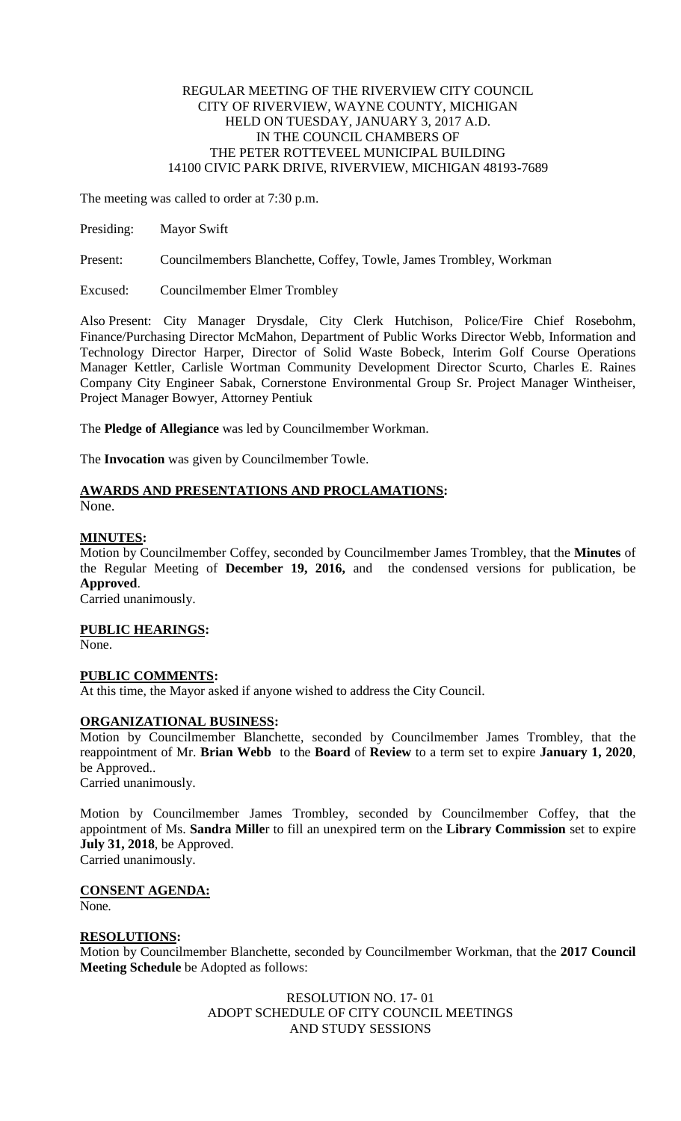### REGULAR MEETING OF THE RIVERVIEW CITY COUNCIL CITY OF RIVERVIEW, WAYNE COUNTY, MICHIGAN HELD ON TUESDAY, JANUARY 3, 2017 A.D. IN THE COUNCIL CHAMBERS OF THE PETER ROTTEVEEL MUNICIPAL BUILDING 14100 CIVIC PARK DRIVE, RIVERVIEW, MICHIGAN 48193-7689

The meeting was called to order at 7:30 p.m.

Presiding: Mayor Swift

Present: Councilmembers Blanchette, Coffey, Towle, James Trombley, Workman

Excused: Councilmember Elmer Trombley

Also Present: City Manager Drysdale, City Clerk Hutchison, Police/Fire Chief Rosebohm, Finance/Purchasing Director McMahon, Department of Public Works Director Webb, Information and Technology Director Harper, Director of Solid Waste Bobeck, Interim Golf Course Operations Manager Kettler, Carlisle Wortman Community Development Director Scurto, Charles E. Raines Company City Engineer Sabak, Cornerstone Environmental Group Sr. Project Manager Wintheiser, Project Manager Bowyer, Attorney Pentiuk

The **Pledge of Allegiance** was led by Councilmember Workman.

The **Invocation** was given by Councilmember Towle.

#### **AWARDS AND PRESENTATIONS AND PROCLAMATIONS:** None.

# **MINUTES:**

Motion by Councilmember Coffey, seconded by Councilmember James Trombley, that the **Minutes** of the Regular Meeting of **December 19, 2016,** and the condensed versions for publication, be **Approved**.

Carried unanimously.

**PUBLIC HEARINGS:**

None.

## **PUBLIC COMMENTS:**

At this time, the Mayor asked if anyone wished to address the City Council.

### **ORGANIZATIONAL BUSINESS:**

Motion by Councilmember Blanchette, seconded by Councilmember James Trombley, that the reappointment of Mr. **Brian Webb** to the **Board** of **Review** to a term set to expire **January 1, 2020**, be Approved.. Carried unanimously.

Motion by Councilmember James Trombley, seconded by Councilmember Coffey, that the appointment of Ms. **Sandra Mille**r to fill an unexpired term on the **Library Commission** set to expire **July 31, 2018**, be Approved. Carried unanimously.

**CONSENT AGENDA:**

None.

### **RESOLUTIONS:**

Motion by Councilmember Blanchette, seconded by Councilmember Workman, that the **2017 Council Meeting Schedule** be Adopted as follows:

> RESOLUTION NO. 17- 01 ADOPT SCHEDULE OF CITY COUNCIL MEETINGS AND STUDY SESSIONS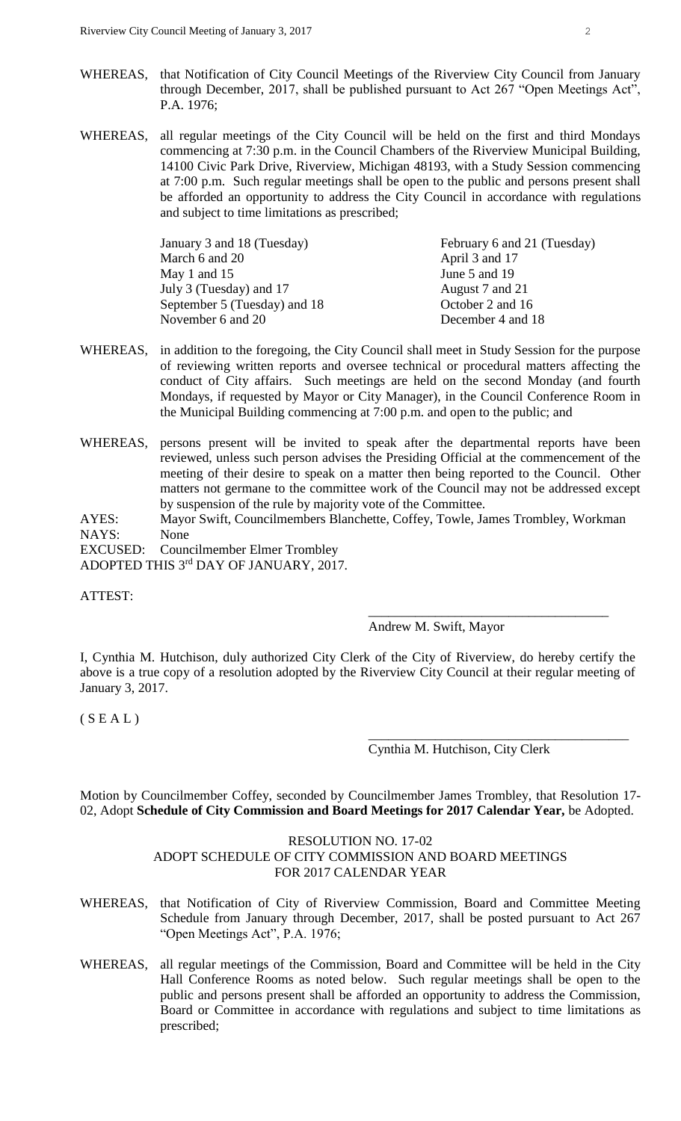- WHEREAS, that Notification of City Council Meetings of the Riverview City Council from January through December, 2017, shall be published pursuant to Act 267 "Open Meetings Act", P.A. 1976;
- WHEREAS, all regular meetings of the City Council will be held on the first and third Mondays commencing at 7:30 p.m. in the Council Chambers of the Riverview Municipal Building, 14100 Civic Park Drive, Riverview, Michigan 48193, with a Study Session commencing at 7:00 p.m. Such regular meetings shall be open to the public and persons present shall be afforded an opportunity to address the City Council in accordance with regulations and subject to time limitations as prescribed;

| January 3 and 18 (Tuesday)   | February 6 and 21 (Tuesday) |  |
|------------------------------|-----------------------------|--|
| March 6 and 20               | April 3 and 17              |  |
| May 1 and $15$               | June 5 and 19               |  |
| July 3 (Tuesday) and 17      | August 7 and 21             |  |
| September 5 (Tuesday) and 18 | October 2 and 16            |  |
| November 6 and 20            | December 4 and 18           |  |

- WHEREAS, in addition to the foregoing, the City Council shall meet in Study Session for the purpose of reviewing written reports and oversee technical or procedural matters affecting the conduct of City affairs. Such meetings are held on the second Monday (and fourth Mondays, if requested by Mayor or City Manager), in the Council Conference Room in the Municipal Building commencing at 7:00 p.m. and open to the public; and
- WHEREAS, persons present will be invited to speak after the departmental reports have been reviewed, unless such person advises the Presiding Official at the commencement of the meeting of their desire to speak on a matter then being reported to the Council. Other matters not germane to the committee work of the Council may not be addressed except by suspension of the rule by majority vote of the Committee.
- AYES: Mayor Swift, Councilmembers Blanchette, Coffey, Towle, James Trombley, Workman NAYS: None

EXCUSED: Councilmember Elmer Trombley ADOPTED THIS 3rd DAY OF JANUARY, 2017.

ATTEST:

Andrew M. Swift, Mayor

\_\_\_\_\_\_\_\_\_\_\_\_\_\_\_\_\_\_\_\_\_\_\_\_\_\_\_\_\_\_\_\_\_\_\_\_

\_\_\_\_\_\_\_\_\_\_\_\_\_\_\_\_\_\_\_\_\_\_\_\_\_\_\_\_\_\_\_\_\_\_\_\_\_\_\_

I, Cynthia M. Hutchison, duly authorized City Clerk of the City of Riverview, do hereby certify the above is a true copy of a resolution adopted by the Riverview City Council at their regular meeting of January 3, 2017.

 $(S E A L)$ 

Cynthia M. Hutchison, City Clerk

Motion by Councilmember Coffey, seconded by Councilmember James Trombley, that Resolution 17- 02, Adopt **Schedule of City Commission and Board Meetings for 2017 Calendar Year,** be Adopted.

### RESOLUTION NO. 17-02

### ADOPT SCHEDULE OF CITY COMMISSION AND BOARD MEETINGS FOR 2017 CALENDAR YEAR

- WHEREAS, that Notification of City of Riverview Commission, Board and Committee Meeting Schedule from January through December, 2017, shall be posted pursuant to Act 267 "Open Meetings Act", P.A. 1976;
- WHEREAS, all regular meetings of the Commission, Board and Committee will be held in the City Hall Conference Rooms as noted below. Such regular meetings shall be open to the public and persons present shall be afforded an opportunity to address the Commission, Board or Committee in accordance with regulations and subject to time limitations as prescribed;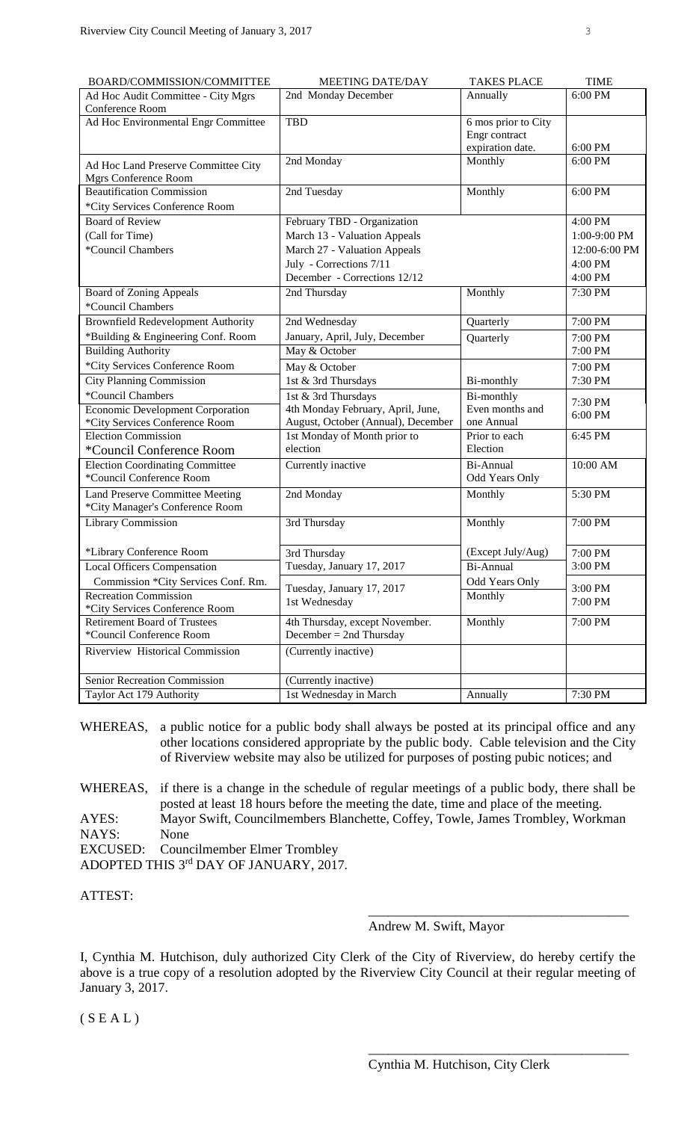| BOARD/COMMISSION/COMMITTEE                | <b>MEETING DATE/DAY</b>                    | <b>TAKES PLACE</b>  | <b>TIME</b>        |
|-------------------------------------------|--------------------------------------------|---------------------|--------------------|
| Ad Hoc Audit Committee - City Mgrs        | 2nd Monday December                        | Annually            | 6:00 PM            |
| Conference Room                           |                                            |                     |                    |
| Ad Hoc Environmental Engr Committee       | <b>TBD</b>                                 | 6 mos prior to City |                    |
|                                           |                                            | Engr contract       |                    |
|                                           |                                            | expiration date.    | 6:00 PM            |
| Ad Hoc Land Preserve Committee City       | 2nd Monday                                 | Monthly             | 6:00 PM            |
| Mgrs Conference Room                      |                                            |                     |                    |
| <b>Beautification Commission</b>          | 2nd Tuesday                                | Monthly             | 6:00 PM            |
| *City Services Conference Room            |                                            |                     |                    |
| <b>Board of Review</b>                    | February TBD - Organization                |                     | 4:00 PM            |
| (Call for Time)                           | March 13 - Valuation Appeals               |                     | 1:00-9:00 PM       |
| *Council Chambers                         | March 27 - Valuation Appeals               |                     | 12:00-6:00 PM      |
|                                           | July - Corrections 7/11                    |                     | 4:00 PM            |
|                                           | December - Corrections 12/12               |                     | 4:00 PM            |
| <b>Board of Zoning Appeals</b>            | 2nd Thursday                               | Monthly             | 7:30 PM            |
| *Council Chambers                         |                                            |                     |                    |
| <b>Brownfield Redevelopment Authority</b> | 2nd Wednesday                              | Quarterly           | 7:00 PM            |
| *Building & Engineering Conf. Room        | January, April, July, December             | Quarterly           | 7:00 PM            |
| <b>Building Authority</b>                 | May & October                              |                     | 7:00 PM            |
| *City Services Conference Room            | May & October                              |                     | 7:00 PM            |
| <b>City Planning Commission</b>           | 1st & 3rd Thursdays                        | Bi-monthly          | 7:30 PM            |
| *Council Chambers                         | 1st & 3rd Thursdays                        | Bi-monthly          |                    |
| Economic Development Corporation          | 4th Monday February, April, June,          | Even months and     | 7:30 PM<br>6:00 PM |
| *City Services Conference Room            | August, October (Annual), December         | one Annual          |                    |
| <b>Election Commission</b>                | 1st Monday of Month prior to               | Prior to each       | 6:45 PM            |
| *Council Conference Room                  | election                                   | Election            |                    |
| <b>Election Coordinating Committee</b>    | Currently inactive                         | Bi-Annual           | 10:00 AM           |
| *Council Conference Room                  |                                            | Odd Years Only      |                    |
| <b>Land Preserve Committee Meeting</b>    | 2nd Monday                                 | Monthly             | 5:30 PM            |
| *City Manager's Conference Room           |                                            |                     |                    |
| <b>Library Commission</b>                 | 3rd Thursday                               | Monthly             | 7:00 PM            |
|                                           |                                            |                     |                    |
| *Library Conference Room                  | 3rd Thursday                               | (Except July/Aug)   | 7:00 PM            |
| <b>Local Officers Compensation</b>        | Tuesday, January 17, 2017                  | Bi-Annual           | 3:00 PM            |
| Commission *City Services Conf. Rm.       |                                            | Odd Years Only      | 3:00 PM            |
| <b>Recreation Commission</b>              | Tuesday, January 17, 2017<br>1st Wednesday | Monthly             | 7:00 PM            |
| *City Services Conference Room            |                                            |                     |                    |
| <b>Retirement Board of Trustees</b>       | 4th Thursday, except November.             | Monthly             | 7:00 PM            |
| *Council Conference Room                  | December = $2nd$ Thursday                  |                     |                    |
| Riverview Historical Commission           | (Currently inactive)                       |                     |                    |
|                                           |                                            |                     |                    |
| Senior Recreation Commission              | (Currently inactive)                       |                     |                    |
| Taylor Act 179 Authority                  | 1st Wednesday in March                     | Annually            | 7:30 PM            |

- WHEREAS, a public notice for a public body shall always be posted at its principal office and any other locations considered appropriate by the public body. Cable television and the City of Riverview website may also be utilized for purposes of posting pubic notices; and
- WHEREAS, if there is a change in the schedule of regular meetings of a public body, there shall be posted at least 18 hours before the meeting the date, time and place of the meeting. AYES: Mayor Swift, Councilmembers Blanchette, Coffey, Towle, James Trombley, Workman NAYS: None EXCUSED: Councilmember Elmer Trombley

ADOPTED THIS 3rd DAY OF JANUARY, 2017.

ATTEST:

#### Andrew M. Swift, Mayor

\_\_\_\_\_\_\_\_\_\_\_\_\_\_\_\_\_\_\_\_\_\_\_\_\_\_\_\_\_\_\_\_\_\_\_\_\_\_\_

\_\_\_\_\_\_\_\_\_\_\_\_\_\_\_\_\_\_\_\_\_\_\_\_\_\_\_\_\_\_\_\_\_\_\_\_\_\_\_

I, Cynthia M. Hutchison, duly authorized City Clerk of the City of Riverview, do hereby certify the above is a true copy of a resolution adopted by the Riverview City Council at their regular meeting of January 3, 2017.

 $(S E A L)$